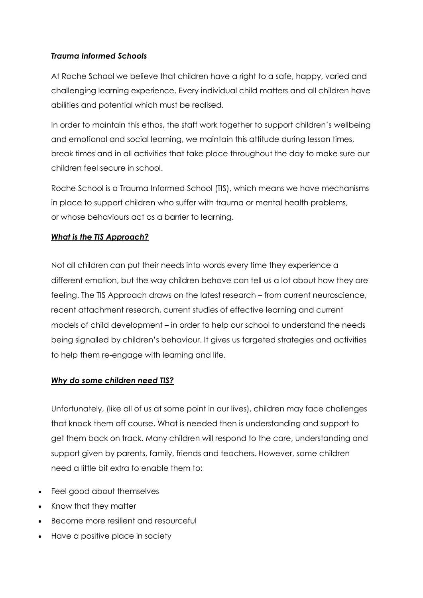# *Trauma Informed Schools*

At Roche School we believe that children have a right to a safe, happy, varied and challenging learning experience. Every individual child matters and all children have abilities and potential which must be realised.

In order to maintain this ethos, the staff work together to support children's wellbeing and emotional and social learning, we maintain this attitude during lesson times, break times and in all activities that take place throughout the day to make sure our children feel secure in school.

Roche School is a Trauma Informed School (TIS), which means we have mechanisms in place to support children who suffer with trauma or mental health problems, or whose behaviours act as a barrier to learning.

# *What is the TIS Approach?*

Not all children can put their needs into words every time they experience a different emotion, but the way children behave can tell us a lot about how they are feeling. The TIS Approach draws on the latest research – from current neuroscience, recent attachment research, current studies of effective learning and current models of child development – in order to help our school to understand the needs being signalled by children's behaviour. It gives us targeted strategies and activities to help them re-engage with learning and life.

# *Why do some children need TIS?*

Unfortunately, (like all of us at some point in our lives), children may face challenges that knock them off course. What is needed then is understanding and support to get them back on track. Many children will respond to the care, understanding and support given by parents, family, friends and teachers. However, some children need a little bit extra to enable them to:

- Feel good about themselves
- Know that they matter
- Become more resilient and resourceful
- Have a positive place in society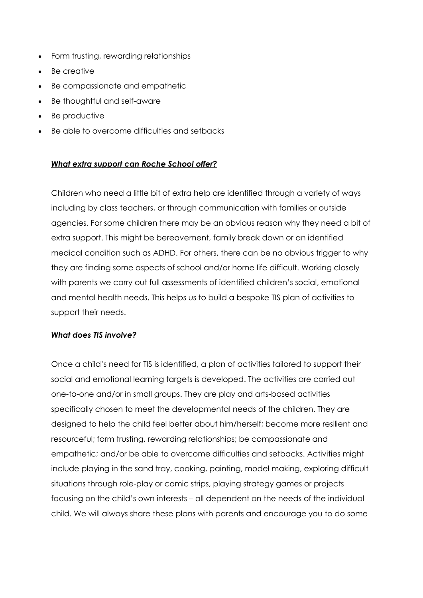- Form trusting, rewarding relationships
- Be creative
- Be compassionate and empathetic
- Be thoughtful and self-aware
- Be productive
- Be able to overcome difficulties and setbacks

## *What extra support can Roche School offer?*

Children who need a little bit of extra help are identified through a variety of ways including by class teachers, or through communication with families or outside agencies. For some children there may be an obvious reason why they need a bit of extra support. This might be bereavement, family break down or an identified medical condition such as ADHD. For others, there can be no obvious trigger to why they are finding some aspects of school and/or home life difficult. Working closely with parents we carry out full assessments of identified children's social, emotional and mental health needs. This helps us to build a bespoke TIS plan of activities to support their needs.

## *What does TIS involve?*

Once a child's need for TIS is identified, a plan of activities tailored to support their social and emotional learning targets is developed. The activities are carried out one-to-one and/or in small groups. They are play and arts-based activities specifically chosen to meet the developmental needs of the children. They are designed to help the child feel better about him/herself; become more resilient and resourceful; form trusting, rewarding relationships; be compassionate and empathetic; and/or be able to overcome difficulties and setbacks. Activities might include playing in the sand tray, cooking, painting, model making, exploring difficult situations through role-play or comic strips, playing strategy games or projects focusing on the child's own interests – all dependent on the needs of the individual child. We will always share these plans with parents and encourage you to do some